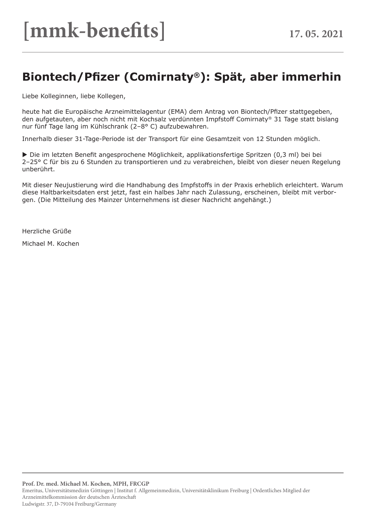## **Biontech/Pfizer (Comirnaty®): Spät, aber immerhin**

Liebe Kolleginnen, liebe Kollegen,

heute hat die Europäische Arzneimittelagentur (EMA) dem Antrag von Biontech/Pfizer stattgegeben, den aufgetauten, aber noch nicht mit Kochsalz verdünnten Impfstoff Comirnaty® 31 Tage statt bislang nur fünf Tage lang im Kühlschrank (2–8° C) aufzubewahren.

Innerhalb dieser 31-Tage-Periode ist der Transport für eine Gesamtzeit von 12 Stunden möglich.

 Die im letzten Benefit angesprochene Möglichkeit, applikationsfertige Spritzen (0,3 ml) bei bei 2–25° C für bis zu 6 Stunden zu transportieren und zu verabreichen, bleibt von dieser neuen Regelung unberührt.

Mit dieser Neujustierung wird die Handhabung des Impfstoffs in der Praxis erheblich erleichtert. Warum diese Haltbarkeitsdaten erst jetzt, fast ein halbes Jahr nach Zulassung, erscheinen, bleibt mit verborgen. (Die Mitteilung des Mainzer Unternehmens ist dieser Nachricht angehängt.)

Herzliche Grüße

Michael M. Kochen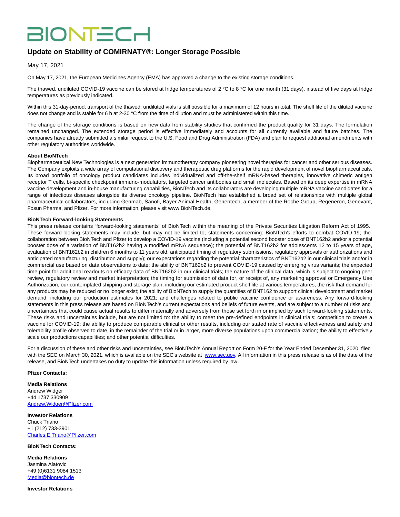# **BIONTECH**

### **Update on Stability of COMIRNATY®: Longer Storage Possible**

May 17, 2021

On May 17, 2021, the European Medicines Agency (EMA) has approved a change to the existing storage conditions.

The thawed, undiluted COVID-19 vaccine can be stored at fridge temperatures of 2 °C to 8 °C for one month (31 days), instead of five days at fridge temperatures as previously indicated.

Within this 31-day-period, transport of the thawed, undiluted vials is still possible for a maximum of 12 hours in total. The shelf life of the diluted vaccine does not change and is stable for 6 h at 2-30 °C from the time of dilution and must be administered within this time.

The change of the storage conditions is based on new data from stability studies that confirmed the product quality for 31 days. The formulation remained unchanged. The extended storage period is effective immediately and accounts for all currently available and future batches. The companies have already submitted a similar request to the U.S. Food and Drug Administration (FDA) and plan to request additional amendments with other regulatory authorities worldwide.

#### **About BioNTech**

Biopharmaceutical New Technologies is a next generation immunotherapy company pioneering novel therapies for cancer and other serious diseases. The Company exploits a wide array of computational discovery and therapeutic drug platforms for the rapid development of novel biopharmaceuticals. Its broad portfolio of oncology product candidates includes individualized and off-the-shelf mRNA-based therapies, innovative chimeric antigen receptor T cells, bi-specific checkpoint immuno-modulators, targeted cancer antibodies and small molecules. Based on its deep expertise in mRNA vaccine development and in-house manufacturing capabilities, BioNTech and its collaborators are developing multiple mRNA vaccine candidates for a range of infectious diseases alongside its diverse oncology pipeline. BioNTech has established a broad set of relationships with multiple global pharmaceutical collaborators, including Genmab, Sanofi, Bayer Animal Health, Genentech, a member of the Roche Group, Regeneron, Genevant, Fosun Pharma, and Pfizer. For more information, please visit www.BioNTech.de.

#### **BioNTech Forward-looking Statements**

This press release contains "forward-looking statements" of BioNTech within the meaning of the Private Securities Litigation Reform Act of 1995. These forward-looking statements may include, but may not be limited to, statements concerning: BioNTech's efforts to combat COVID-19; the collaboration between BioNTech and Pfizer to develop a COVID-19 vaccine (including a potential second booster dose of BNT162b2 and/or a potential booster dose of a variation of BNT162b2 having a modified mRNA sequence); the potential of BNT162b2 for adolescents 12 to 15 years of age, evaluation of BNT162b2 in children 6 months to 11 years old, anticipated timing of regulatory submissions, regulatory approvals or authorizations and anticipated manufacturing, distribution and supply); our expectations regarding the potential characteristics of BNT162b2 in our clinical trials and/or in commercial use based on data observations to date; the ability of BNT162b2 to prevent COVID-19 caused by emerging virus variants; the expected time point for additional readouts on efficacy data of BNT162b2 in our clinical trials; the nature of the clinical data, which is subject to ongoing peer review, regulatory review and market interpretation; the timing for submission of data for, or receipt of, any marketing approval or Emergency Use Authorization; our contemplated shipping and storage plan, including our estimated product shelf life at various temperatures; the risk that demand for any products may be reduced or no longer exist; the ability of BioNTech to supply the quantities of BNT162 to support clinical development and market demand, including our production estimates for 2021; and challenges related to public vaccine confidence or awareness. Any forward-looking statements in this press release are based on BioNTech's current expectations and beliefs of future events, and are subject to a number of risks and uncertainties that could cause actual results to differ materially and adversely from those set forth in or implied by such forward-looking statements. These risks and uncertainties include, but are not limited to: the ability to meet the pre-defined endpoints in clinical trials; competition to create a vaccine for COVID-19; the ability to produce comparable clinical or other results, including our stated rate of vaccine effectiveness and safety and tolerability profile observed to date, in the remainder of the trial or in larger, more diverse populations upon commercialization; the ability to effectively scale our productions capabilities; and other potential difficulties.

For a discussion of these and other risks and uncertainties, see BioNTech's Annual Report on Form 20-F for the Year Ended December 31, 2020, filed with the SEC on March 30, 2021, which is available on the SEC's website at [www.sec.gov.](https://www.globenewswire.com/Tracker?data=4j7et35zbZ7UVLtsnFHJ0QN9anNol2cmSScOvSYwmUbMc49_qdiUN3aj_5MEYyECPpFo4YQjkSRl4W5-LoBXHA==) All information in this press release is as of the date of the release, and BioNTech undertakes no duty to update this information unless required by law.

#### **Pfizer Contacts:**

**Media Relations** Andrew Widger +44 1737 330909 [Andrew.Widger@Pfizer.com](https://www.globenewswire.com/Tracker?data=wFxeXf_wTIftQ18iC793m8mNrIozSpCCRly3U4MHpbbTi86gb94s8XuydVhunWMAUxUnzz5qeHdoQXsK5T80ff0B_6hBqRflakHP38YOcqk=)

**Investor Relations** Chuck Triano +1 (212) 733-3901 [Charles.E.Triano@Pfizer.com](https://www.globenewswire.com/Tracker?data=9EVRcDTFZ6A7jFvmsbT8cwrvk_ymyfc2kxdRA3tuz2kyw0ncePklaLX2DE0gDDucxcxs2-g-NJiYLmPxn4X70xlVdBIR388dl7CHKNIRA2n3JJ1QHRI78flwwiFH4Eto)

#### **BioNTech Contacts:**

**Media Relations** Jasmina Alatovic +49 (0)6131 9084 1513 [Media@biontech.de](https://www.globenewswire.com/Tracker?data=itJUSGFo1x1_MHHSYt9LguPd9UbysB3lWHLgyLiedZKf8V_IDLU61JenOvGXY4PTMRiP0RBcMYy6UInoEuQT8D4_cKBhqn4Bd2VGHOKMGS8=)

**Investor Relations**